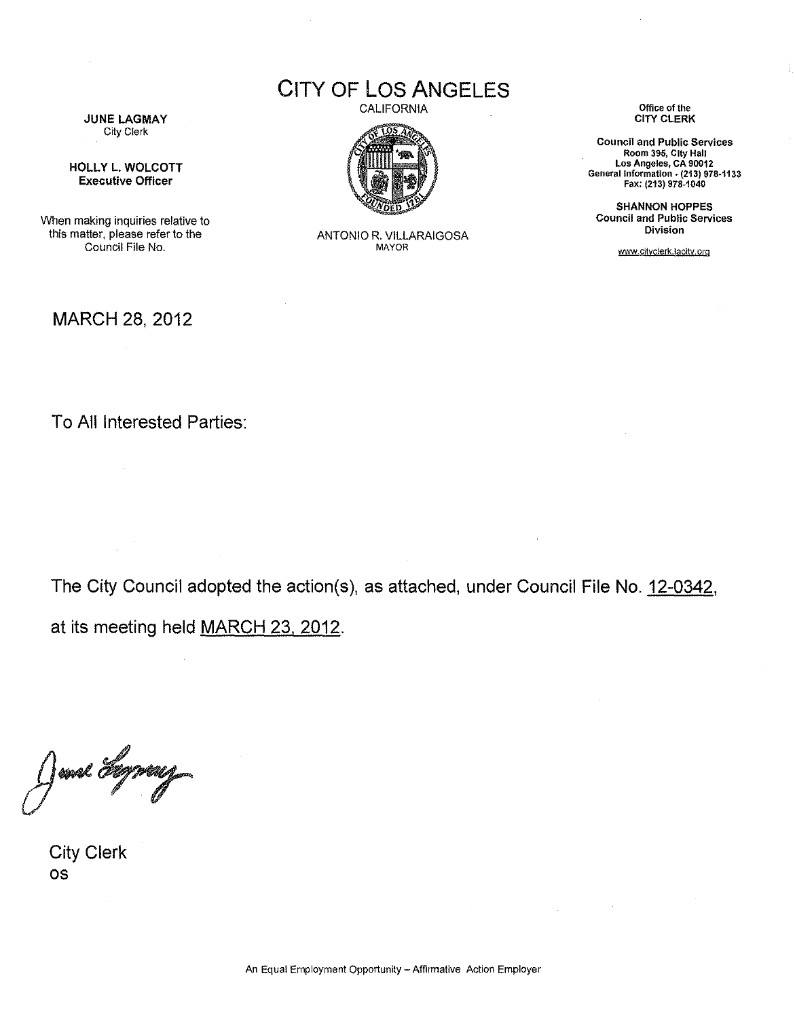CITY OF LOS ANGELES

JUNE LAGMAY City Clerk

HOLLY L. WOLCOTT Executive Officer

When making inquiries relative to this matter, please refer to the Council File No.

**CALIFORNIA** 



ANTONIO R. VILLARAIGOSA MAYOR

**Office of the**  CITY CLERK

**Council and Public Services Room 395, City Hall Los Angeles, CA 90012 General Information. (213) 978·1133**  Fax: (213) 976-1040

SHANNON HOPPES **Council and Public Services Division** 

www.cityclerk.lacity.org

## MARCH 28, 2012

To All Interested Parties:

The City Council adopted the action(s), as attached, under Council File No. 12-0342, at its meeting held MARCH 23, 2012.

 $\mathcal{A}$ 

 $\sim 10^7$ 

]mal Fly

City Clerk OS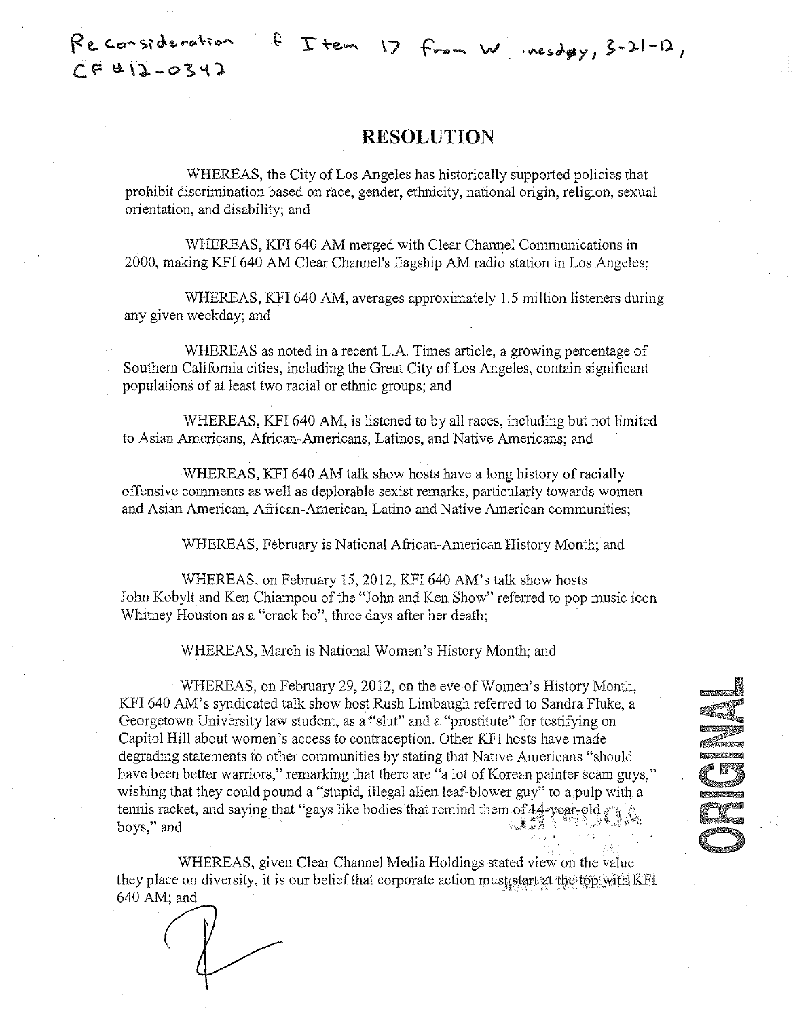## **RESOLUTION**

WHEREAS, the City of Los Angeles has historically supported policies that prohibit discrimination based on race, gender, ethnicity, national origin, religion, sexual orientation, and disability; and

WHEREAS, KFI 640 AM merged with Clear Channel Communications in 2000, making KFI 640 AM Clear Channel's flagship AM radio station in Los Angeles;

WHEREAS, KFI 640 AM, averages approximately 1.5 million listeners during any given weekday; and

WHEREAS as noted in a recent L.A. Times article, a growing percentage of Southern California cities, including the Great City of Los Angeles, contain significant populations of at least two racial or ethnic groups; and

WHEREAS, KFI 640 AM, is listened to by all races, including but not limited to Asian Americans, African-Americans, Latinos, and Native Americans; and

WHEREAS, KFI 640 AM talk show hosts have a long history of racially offensive comments as well as deplorable sexist remarks, particularly towards women and Asian American, African-American, Latino and Native American communities;

WHEREAS, February is National African-American History Month; and

WHEREAS, on February 15,2012, KFI 640 AM's talk show hosts John Kobylt and Ken Chiampou of the "John and Ken Show" refened to pop music icon Whitney Houston as a "crack ho", three days after her death;

WHEREAS, March is National Women's History Month; and

WHEREAS, on February 29, 2012, on the eve of Women's History Month, KFI 640 AM's syndicated talk show host Rush Limbaugh refened to Sandra Fluke, a Georgetown University law student, as a "slut" and a "prostitute" for testifying on Capitol Hill about women's access to contraception. Other KFI hosts have made degrading statements to other communities by stating that Native Americans "should have been better warriors," remarking that there are "a lot of Korean painter scam guys," wishing that they could pound a "stupid, illegal alien leaf-blower guy" to a pulp with a tennis racket, and saying that "gays like bodies that remind them of 14-year-old boys," and

F

WHEREAS, given Clear Channel Media Holdings stated view on the value they place on diversity, it is our belief that corporate action must start at the top With KFI 640AM; and